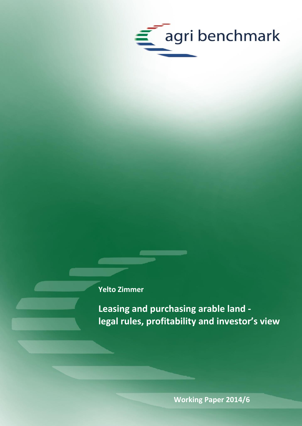

**Yelto Zimmer**

**Leasing and purchasing arable land legal rules, profitability and investor's view**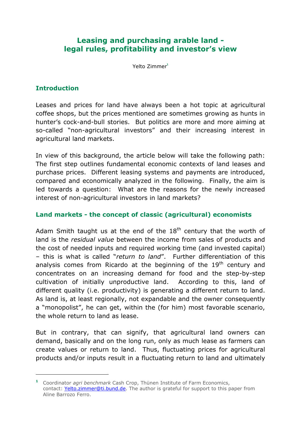# **Leasing and purchasing arable land legal rules, profitability and investor's view**

Yelto Zimmer<sup>1</sup>

# **Introduction**

<u>.</u>

Leases and prices for land have always been a hot topic at agricultural coffee shops, but the prices mentioned are sometimes growing as hunts in hunter's cock-and-bull stories. But politics are more and more aiming at so-called "non-agricultural investors" and their increasing interest in agricultural land markets.

In view of this background, the article below will take the following path: The first step outlines fundamental economic contexts of land leases and purchase prices. Different leasing systems and payments are introduced, compared and economically analyzed in the following. Finally, the aim is led towards a question: What are the reasons for the newly increased interest of non-agricultural investors in land markets?

# **Land markets - the concept of classic (agricultural) economists**

Adam Smith taught us at the end of the  $18<sup>th</sup>$  century that the worth of land is the *residual value* between the income from sales of products and the cost of needed inputs and required working time (and invested capital) – this is what is called "*return to land*". Further differentiation of this analysis comes from Ricardo at the beginning of the  $19<sup>th</sup>$  century and concentrates on an increasing demand for food and the step-by-step cultivation of initially unproductive land. According to this, land of different quality (i.e. productivity) is generating a different return to land. As land is, at least regionally, not expandable and the owner consequently a "monopolist", he can get, within the (for him) most favorable scenario, the whole return to land as lease.

But in contrary, that can signify, that agricultural land owners can demand, basically and on the long run, only as much lease as farmers can create values or return to land. Thus, fluctuating prices for agricultural products and/or inputs result in a fluctuating return to land and ultimately

**<sup>1</sup>** Coordinator *agri benchmark* Cash Crop, Thünen Institute of Farm Economics, contact: [Yelto.zimmer@ti.bund.de.](mailto:Yelto.zimmer@ti.bund.de) The author is grateful for support to this paper from Aline Barrozo Ferro.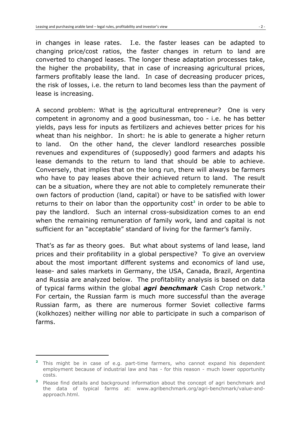in changes in lease rates. I.e. the faster leases can be adapted to changing price/cost ratios, the faster changes in return to land are converted to changed leases. The longer these adaptation processes take, the higher the probability, that in case of increasing agricultural prices, farmers profitably lease the land. In case of decreasing producer prices, the risk of losses, i.e. the return to land becomes less than the payment of lease is increasing.

A second problem: What is the agricultural entrepreneur? One is very competent in agronomy and a good businessman, too - i.e. he has better yields, pays less for inputs as fertilizers and achieves better prices for his wheat than his neighbor. In short: he is able to generate a higher return to land. On the other hand, the clever landlord researches possible revenues and expenditures of (supposedly) good farmers and adapts his lease demands to the return to land that should be able to achieve. Conversely, that implies that on the long run, there will always be farmers who have to pay leases above their achieved return to land. The result can be a situation, where they are not able to completely remunerate their own factors of production (land, capital) or have to be satisfied with lower returns to their on labor than the opportunity cost<sup>2</sup> in order to be able to pay the landlord. Such an internal cross-subsidization comes to an end when the remaining remuneration of family work, land and capital is not sufficient for an "acceptable" standard of living for the farmer's family.

That's as far as theory goes. But what about systems of land lease, land prices and their profitability in a global perspective? To give an overview about the most important different systems and economics of land use, lease- and sales markets in Germany, the USA, Canada, Brazil, Argentina and Russia are analyzed below. The profitability analysis is based on data of typical farms within the global *agri benchmark* Cash Crop network. **3** For certain, the Russian farm is much more successful than the average Russian farm, as there are numerous former Soviet collective farms (kolkhozes) neither willing nor able to participate in such a comparison of farms.

<u>.</u>

<sup>&</sup>lt;sup>2</sup> This might be in case of e.g. part-time farmers, who cannot expand his dependent employment because of industrial law and has - for this reason - much lower opportunity costs.

<sup>&</sup>lt;sup>3</sup> Please find details and background information about the concept of agri benchmark and the data of typical farms at: www.agribenchmark.org/agri-benchmark/value-andapproach.html.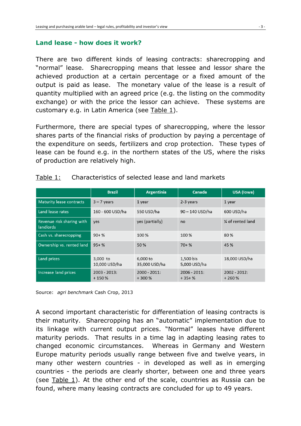#### **Land lease - how does it work?**

There are two different kinds of leasing contracts: sharecropping and "normal" lease. Sharecropping means that lessee and lessor share the achieved production at a certain percentage or a fixed amount of the output is paid as lease. The monetary value of the lease is a result of quantity multiplied with an agreed price (e.g. the listing on the commodity exchange) or with the price the lessor can achieve. These systems are customary e.g. in Latin America (see Table 1).

Furthermore, there are special types of sharecropping, where the lessor shares parts of the financial risks of production by paying a percentage of the expenditure on seeds, fertilizers and crop protection. These types of lease can be found e.g. in the northern states of the US, where the risks of production are relatively high.

|                                               | <b>Brazil</b>              | <b>Argentinia</b>          | Canada                     | <b>USA (lowa)</b>          |
|-----------------------------------------------|----------------------------|----------------------------|----------------------------|----------------------------|
| Maturity lease contracts                      | $3 - 7$ years              | 1 year                     | 2-3 years                  | 1 year                     |
| Land lease rates                              | 160 - 600 USD/ha           | 550 USD/ha                 | 90 - 140 USD/ha            | 600 USD/ha                 |
| Revenue risk sharing with<br><b>landlords</b> | <b>ves</b>                 | yes (partially)            | no                         | 1/4 of rented land         |
| Cash vs. sharecropping                        | $90 + \%$                  | 100 %                      | 100 %                      | 80 %                       |
| Ownership vs. rented land                     | $95 + \%$                  | 50 %                       | $70 + \%$                  | 45 %                       |
| Land prices                                   | 3,000 to<br>10,000 USD/ha  | 6.000 to<br>35,000 USD/ha  | 1.500 bis<br>5,000 USD/ha  | 18,000 USD/ha              |
| Increase land prices                          | $2003 - 2013$ :<br>$+150%$ | $2000 - 2011$ :<br>$+300%$ | $2006 - 2011$ :<br>$+35+%$ | $2002 - 2012$ :<br>$+260%$ |

| Characteristics of selected lease and land markets | Table 1: |  |  |  |  |  |  |
|----------------------------------------------------|----------|--|--|--|--|--|--|
|----------------------------------------------------|----------|--|--|--|--|--|--|

Source: *agri benchmark* Cash Crop, 2013

A second important characteristic for differentiation of leasing contracts is their maturity. Sharecropping has an "automatic" implementation due to its linkage with current output prices. "Normal" leases have different maturity periods. That results in a time lag in adapting leasing rates to changed economic circumstances. Whereas in Germany and Western Europe maturity periods usually range between five and twelve years, in many other western countries - in developed as well as in emerging countries - the periods are clearly shorter, between one and three years (see Table 1). At the other end of the scale, countries as Russia can be found, where many leasing contracts are concluded for up to 49 years.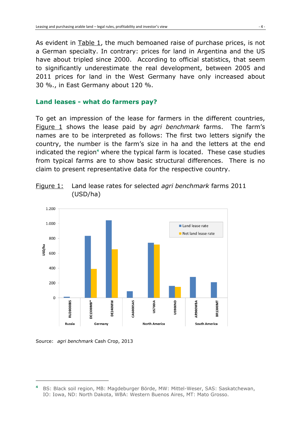As evident in Table 1, the much bemoaned raise of purchase prices, is not a German specialty. In contrary: prices for land in Argentina and the US have about tripled since 2000. According to official statistics, that seem to significantly underestimate the real development, between 2005 and 2011 prices for land in the West Germany have only increased about 30 %., in East Germany about 120 %.

#### **Land leases - what do farmers pay?**

To get an impression of the lease for farmers in the different countries, Figure 1 shows the lease paid by *agri benchmark* farms. The farm's names are to be interpreted as follows: The first two letters signify the country, the number is the farm's size in ha and the letters at the end indicated the region<sup>4</sup> where the typical farm is located. These case studies from typical farms are to show basic structural differences. There is no claim to present representative data for the respective country.





Source: *agri benchmark* Cash Crop, 2013

<u>.</u>

**<sup>4</sup>** BS: Black soil region, MB: Magdeburger Börde, MW: Mittel-Weser, SAS: Saskatchewan, IO: Iowa, ND: North Dakota, WBA: Western Buenos Aires, MT: Mato Grosso.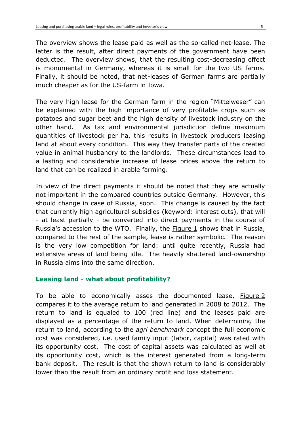The overview shows the lease paid as well as the so-called net-lease. The latter is the result, after direct payments of the government have been deducted. The overview shows, that the resulting cost-decreasing effect is monumental in Germany, whereas it is small for the two US farms. Finally, it should be noted, that net-leases of German farms are partially much cheaper as for the US-farm in Iowa.

The very high lease for the German farm in the region "Mittelweser" can be explained with the high importance of very profitable crops such as potatoes and sugar beet and the high density of livestock industry on the other hand. As tax and environmental jurisdiction define maximum quantities of livestock per ha, this results in livestock producers leasing land at about every condition. This way they transfer parts of the created value in animal husbandry to the landlords. These circumstances lead to a lasting and considerable increase of lease prices above the return to land that can be realized in arable farming.

In view of the direct payments it should be noted that they are actually not important in the compared countries outside Germany. However, this should change in case of Russia, soon. This change is caused by the fact that currently high agricultural subsidies (keyword: interest cuts), that will - at least partially - be converted into direct payments in the course of Russia's accession to the WTO. Finally, the  $Figure 1$  shows that in Russia, compared to the rest of the sample, lease is rather symbolic. The reason is the very low competition for land: until quite recently, Russia had extensive areas of land being idle. The heavily shattered land-ownership in Russia aims into the same direction.

#### **Leasing land - what about profitability?**

To be able to economically asses the documented lease, Figure 2 compares it to the average return to land generated in 2008 to 2012. The return to land is equaled to 100 (red line) and the leases paid are displayed as a percentage of the return to land. When determining the return to land, according to the *agri benchmark* concept the full economic cost was considered, i.e. used family input (labor, capital) was rated with its opportunity cost. The cost of capital assets was calculated as well at its opportunity cost, which is the interest generated from a long-term bank deposit. The result is that the shown return to land is considerably lower than the result from an ordinary profit and loss statement.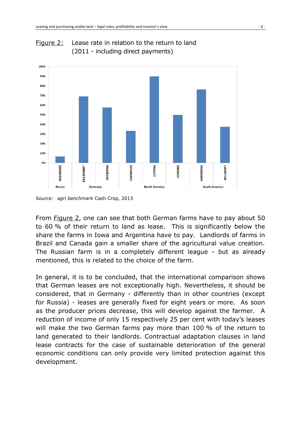



From Figure 2, one can see that both German farms have to pay about 50 to 60 % of their return to land as lease. This is significantly below the share the farms in Iowa and Argentina have to pay. Landlords of farms in Brazil and Canada gain a smaller share of the agricultural value creation. The Russian farm is in a completely different league - but as already mentioned, this is related to the choice of the farm.

In general, it is to be concluded, that the international comparison shows that German leases are not exceptionally high. Nevertheless, it should be considered, that in Germany - differently than in other countries (except for Russia) - leases are generally fixed for eight years or more. As soon as the producer prices decrease, this will develop against the farmer. A reduction of income of only 15 respectively 25 per cent with today's leases will make the two German farms pay more than 100 % of the return to land generated to their landlords. Contractual adaptation clauses in land lease contracts for the case of sustainable deterioration of the general economic conditions can only provide very limited protection against this development.

Source: *agri benchmark* Cash Crop, 2013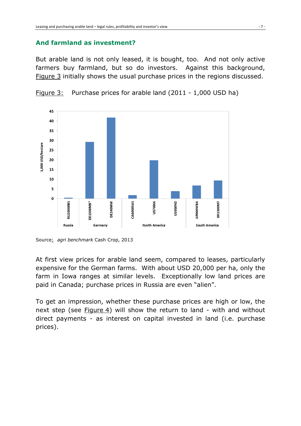#### **And farmland as investment?**

But arable land is not only leased, it is bought, too. And not only active farmers buy farmland, but so do investors. Against this background, Figure 3 initially shows the usual purchase prices in the regions discussed.





At first view prices for arable land seem, compared to leases, particularly expensive for the German farms. With about USD 20,000 per ha, only the farm in Iowa ranges at similar levels. Exceptionally low land prices are paid in Canada; purchase prices in Russia are even "alien".

To get an impression, whether these purchase prices are high or low, the next step (see Figure 4) will show the return to land - with and without direct payments - as interest on capital invested in land (i.e. purchase prices).

Source: *agri benchmark* Cash Crop, 2013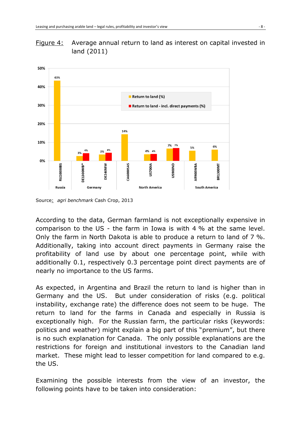



Source: *agri benchmark* Cash Crop, 2013

According to the data, German farmland is not exceptionally expensive in comparison to the US - the farm in Iowa is with 4 % at the same level. Only the farm in North Dakota is able to produce a return to land of 7 %. Additionally, taking into account direct payments in Germany raise the profitability of land use by about one percentage point, while with additionally 0.1, respectively 0.3 percentage point direct payments are of nearly no importance to the US farms.

As expected, in Argentina and Brazil the return to land is higher than in Germany and the US. But under consideration of risks (e.g. political instability, exchange rate) the difference does not seem to be huge. The return to land for the farms in Canada and especially in Russia is exceptionally high. For the Russian farm, the particular risks (keywords: politics and weather) might explain a big part of this "premium", but there is no such explanation for Canada. The only possible explanations are the restrictions for foreign and institutional investors to the Canadian land market. These might lead to lesser competition for land compared to e.g. the US.

Examining the possible interests from the view of an investor, the following points have to be taken into consideration: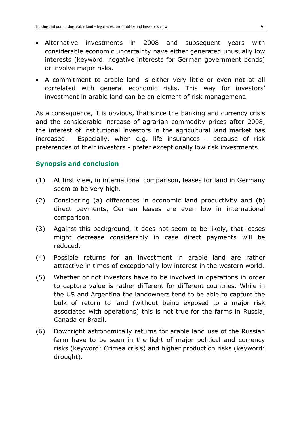- Alternative investments in 2008 and subsequent years with considerable economic uncertainty have either generated unusually low interests (keyword: negative interests for German government bonds) or involve major risks.
- A commitment to arable land is either very little or even not at all correlated with general economic risks. This way for investors' investment in arable land can be an element of risk management.

As a consequence, it is obvious, that since the banking and currency crisis and the considerable increase of agrarian commodity prices after 2008, the interest of institutional investors in the agricultural land market has increased. Especially, when e.g. life insurances - because of risk preferences of their investors - prefer exceptionally low risk investments.

# **Synopsis and conclusion**

- (1) At first view, in international comparison, leases for land in Germany seem to be very high.
- (2) Considering (a) differences in economic land productivity and (b) direct payments, German leases are even low in international comparison.
- (3) Against this background, it does not seem to be likely, that leases might decrease considerably in case direct payments will be reduced.
- (4) Possible returns for an investment in arable land are rather attractive in times of exceptionally low interest in the western world.
- (5) Whether or not investors have to be involved in operations in order to capture value is rather different for different countries. While in the US and Argentina the landowners tend to be able to capture the bulk of return to land (without being exposed to a major risk associated with operations) this is not true for the farms in Russia, Canada or Brazil.
- (6) Downright astronomically returns for arable land use of the Russian farm have to be seen in the light of major political and currency risks (keyword: Crimea crisis) and higher production risks (keyword: drought).